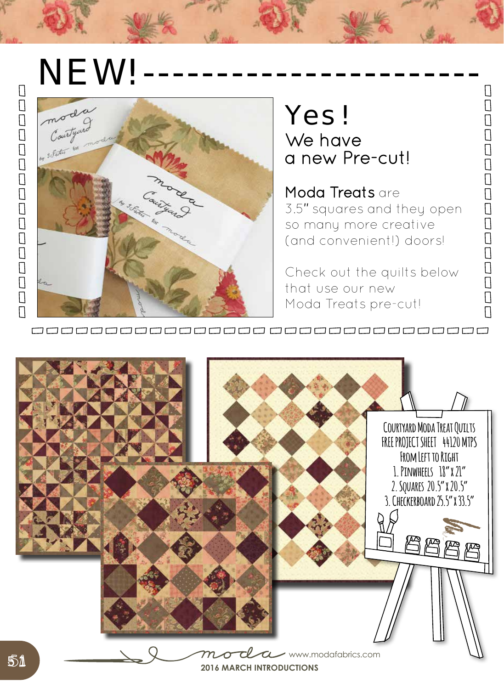## NEW!



## Yes! We have a new Pre-cut!

Moda Treats are 3.5″ squares and they open so many more creative (and convenient!) doors!

 $\Box$ 

 $\Box$ 

 $\begin{array}{c} \square \end{array}$ 

 $\Box$  $\bar{\Pi}$ 

 $\overline{\Box}$ 

 $\bar{\Pi}$ 

 $\begin{array}{c} \square \end{array}$ 

 $\Box$ 

 $\Box$ 

 $\begin{array}{c} \square \\ \square \end{array}$ 

 $\bar{\Pi}$ 

 $\begin{bmatrix} 1 \\ 2 \end{bmatrix}$ 

 $\Box$ 

Check out the quilts below that use our new Moda Treats pre-cut!

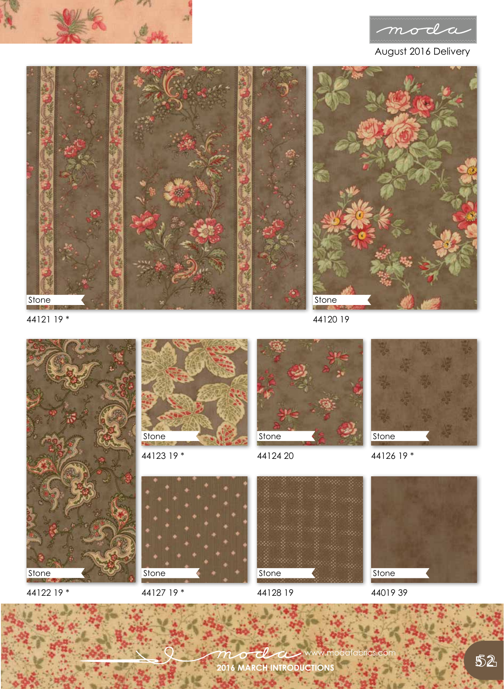





44121 19 \*

44122 19 \*

44120 19



Stone

44123 19 \*



44127 19 \*



44124 20



44126 19 \*



**Stone** 

44128 19

44019 39 **Stone** 

**2016 MARCH INTRODUCTIONS** www.modafabrics.com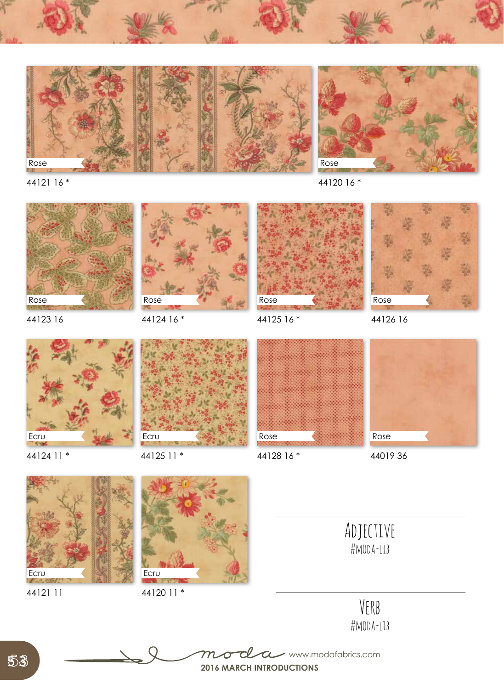





44123 16



44124 16 \*



44125 16 \*



44126 16



44124 11 \*



44125 11 \*



44128 16 \*



44019 36



44121 11



44120 11 \*



Adjective

#moda-lib